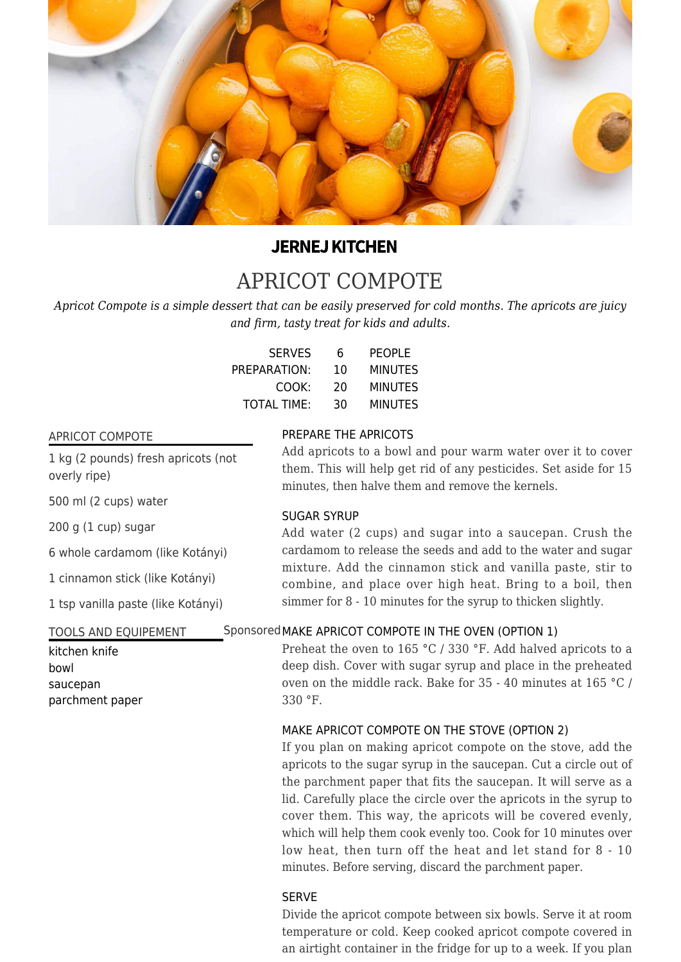

# **JERNEJ KITCHEN**

# [APRICOT COMPOTE](https://jernejkitchen.com/recipes/fruit/apricot-compote)

*Apricot Compote is a simple dessert that can be easily preserved for cold months. The apricots are juicy and firm, tasty treat for kids and adults.*

| <b>SERVES</b>      | 6  | <b>PEOPLE</b>  |
|--------------------|----|----------------|
| PREPARATION:       | 10 | <b>MINUTES</b> |
| COOK:              | 20 | <b>MINUTES</b> |
| <b>TOTAL TIME:</b> | 30 | <b>MINUTES</b> |

### APRICOT COMPOTE

1 kg (2 pounds) fresh apricots (not overly ripe)

500 ml (2 cups) water

200 g (1 cup) sugar

6 whole cardamom (like Kotányi)

1 cinnamon stick (like Kotányi)

1 tsp vanilla paste (like Kotányi)

### TOOLS AND EQUIPEMENT

kitchen knife bowl saucepan parchment paper

# PREPARE THE APRICOTS

Add apricots to a bowl and pour warm water over it to cover them. This will help get rid of any pesticides. Set aside for 15 minutes, then halve them and remove the kernels.

## SUGAR SYRUP

Add water (2 cups) and sugar into a saucepan. Crush the cardamom to release the seeds and add to the water and sugar mixture. Add the cinnamon stick and vanilla paste, stir to combine, and place over high heat. Bring to a boil, then simmer for 8 - 10 minutes for the syrup to thicken slightly.

# Sponsored MAKE APRICOT COMPOTE IN THE OVEN (OPTION 1)

Preheat the oven to 165 °C / 330 °F. Add halved apricots to a deep dish. Cover with sugar syrup and place in the preheated oven on the middle rack. Bake for 35 - 40 minutes at 165 °C / 330 °F.

### MAKE APRICOT COMPOTE ON THE STOVE (OPTION 2)

If you plan on making apricot compote on the stove, add the apricots to the sugar syrup in the saucepan. Cut a circle out of the parchment paper that fits the saucepan. It will serve as a lid. Carefully place the circle over the apricots in the syrup to cover them. This way, the apricots will be covered evenly, which will help them cook evenly too. Cook for 10 minutes over low heat, then turn off the heat and let stand for 8 - 10 minutes. Before serving, discard the parchment paper.

# SERVE

Divide the apricot compote between six bowls. Serve it at room temperature or cold. Keep cooked apricot compote covered in an airtight container in the fridge for up to a week. If you plan